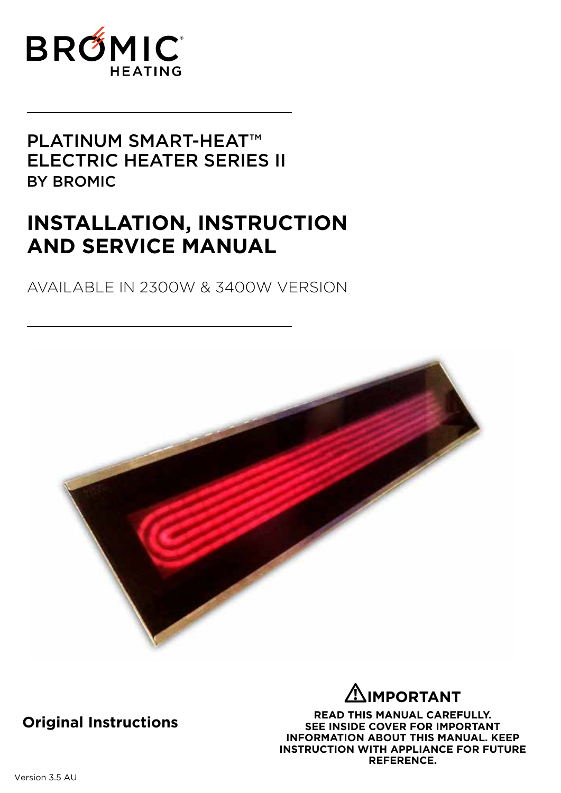

## PLATINUM SMART-HEAT™ ELECTRIC HEATER SERIES II BY BROMIC

# **INSTALLATION, INSTRUCTION AND SERVICE MANUAL**

AVAILABLE IN 2300W & 3400W VERSION



## **Original Instructions**



**READ THIS MANUAL CAREFULLY. SEE INSIDE COVER FOR IMPORTANT INFORMATION ABOUT THIS MANUAL. KEEP INSTRUCTION WITH APPLIANCE FOR FUTURE REFERENCE.**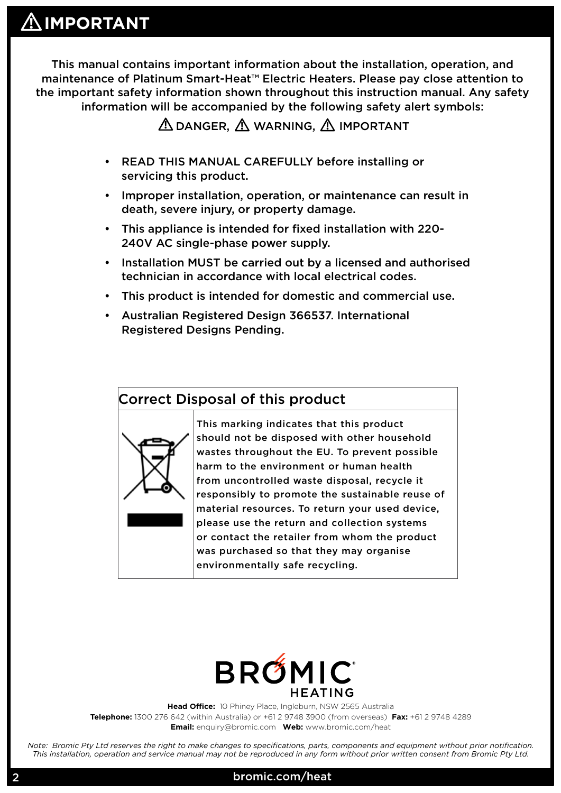This manual contains important information about the installation, operation, and maintenance of Platinum Smart-Heat™ Electric Heaters. Please pay close attention to the important safety information shown throughout this instruction manual. Any safety information will be accompanied by the following safety alert symbols:

 $\Lambda$  DANGER,  $\Lambda$  WARNING,  $\Lambda$  IMPORTANT

- READ THIS MANUAL CAREFULLY before installing or servicing this product.
- Improper installation, operation, or maintenance can result in death, severe injury, or property damage.
- This appliance is intended for fixed installation with 220- 240V AC single-phase power supply.
- Installation MUST be carried out by a licensed and authorised technician in accordance with local electrical codes.
- This product is intended for domestic and commercial use.
- Australian Registered Design 366537. International Registered Designs Pending.

## Correct Disposal of this product



This marking indicates that this product should not be disposed with other household wastes throughout the EU. To prevent possible harm to the environment or human health from uncontrolled waste disposal, recycle it responsibly to promote the sustainable reuse of material resources. To return your used device, please use the return and collection systems or contact the retailer from whom the product was purchased so that they may organise environmentally safe recycling.



**Head Office:** 10 Phiney Place, Ingleburn, NSW 2565 Australia **Telephone:** 1300 276 642 (within Australia) or +61 2 9748 3900 (from overseas) **Fax:** +61 2 9748 4289 **Email:** enquiry@bromic.com **Web:** www.bromic.com/heat

*Note: Bromic Pty Ltd reserves the right to make changes to specifications, parts, components and equipment without prior notification. This installation, operation and service manual may not be reproduced in any form without prior written consent from Bromic Pty Ltd.*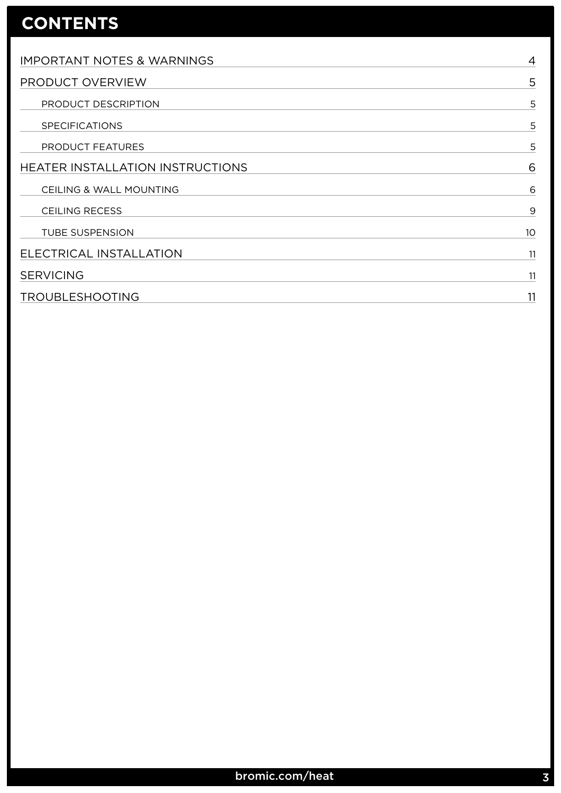# **CONTENTS**

| <b>IMPORTANT NOTES &amp; WARNINGS</b>   | 4  |
|-----------------------------------------|----|
| PRODUCT OVERVIEW                        | 5  |
| PRODUCT DESCRIPTION                     | 5  |
| <b>SPECIFICATIONS</b>                   | 5  |
| PRODUCT FEATURES                        | 5  |
| <b>HEATER INSTALLATION INSTRUCTIONS</b> | 6  |
| <b>CEILING &amp; WALL MOUNTING</b>      | 6  |
| <b>CEILING RECESS</b>                   | 9  |
| <b>TUBE SUSPENSION</b>                  | 10 |
| ELECTRICAL INSTALLATION                 | 11 |
| <b>SERVICING</b>                        | 11 |
| <b>TROUBLESHOOTING</b>                  | 11 |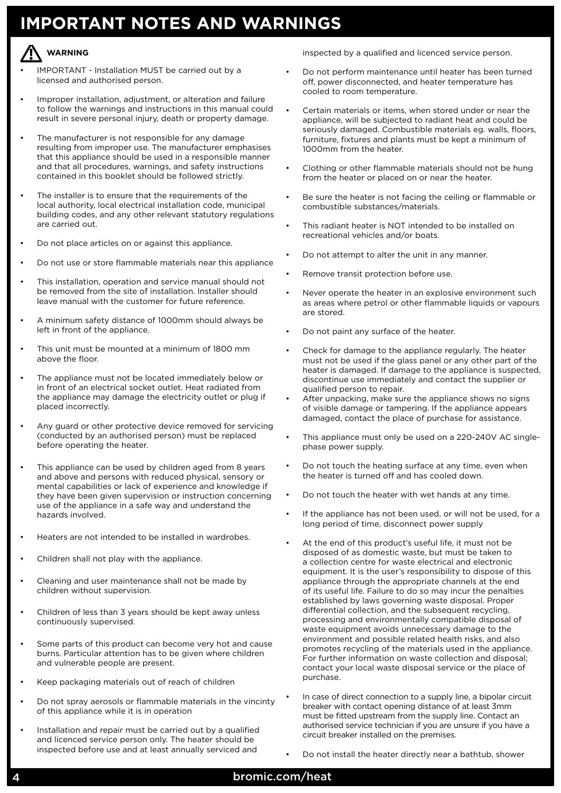## **IMPORTANT NOTES AND WARNINGS**

### **WARNING !**

- IMPORTANT Installation MUST be carried out by a licensed and authorised person.
- Improper installation, adjustment, or alteration and failure to follow the warnings and instructions in this manual could result in severe personal injury, death or property damage.
- The manufacturer is not responsible for any damage resulting from improper use. The manufacturer emphasises that this appliance should be used in a responsible manner and that all procedures, warnings, and safety instructions contained in this booklet should be followed strictly.
- The installer is to ensure that the requirements of the local authority, local electrical installation code, municipal building codes, and any other relevant statutory regulations are carried out.
- Do not place articles on or against this appliance.
- Do not use or store flammable materials near this appliance
- This installation, operation and service manual should not be removed from the site of installation. Installer should leave manual with the customer for future reference.
- A minimum safety distance of 1000mm should always be left in front of the appliance.
- This unit must be mounted at a minimum of 1800 mm above the floor.
- The appliance must not be located immediately below or in front of an electrical socket outlet. Heat radiated from the appliance may damage the electricity outlet or plug if placed incorrectly.
- Any guard or other protective device removed for servicing (conducted by an authorised person) must be replaced before operating the heater.
- This appliance can be used by children aged from 8 years and above and persons with reduced physical, sensory or mental capabilities or lack of experience and knowledge if they have been given supervision or instruction concerning use of the appliance in a safe way and understand the hazards involved.
- Heaters are not intended to be installed in wardrobes.
- Children shall not play with the appliance.
- Cleaning and user maintenance shall not be made by children without supervision.
- Children of less than 3 years should be kept away unless continuously supervised.
- Some parts of this product can become very hot and cause burns. Particular attention has to be given where children and vulnerable people are present.
- Keep packaging materials out of reach of children
- Do not spray aerosols or flammable materials in the vincinty of this appliance while it is in operation
- Installation and repair must be carried out by a qualified and licenced service person only. The heater should be inspected before use and at least annually serviced and

inspected by a qualified and licenced service person.

- Do not perform maintenance until heater has been turned off, power disconnected, and heater temperature has cooled to room temperature.
- Certain materials or items, when stored under or near the appliance, will be subjected to radiant heat and could be seriously damaged. Combustible materials eg. walls, floors, furniture, fixtures and plants must be kept a minimum of 1000mm from the heater.
- Clothing or other flammable materials should not be hung from the heater or placed on or near the heater.
- Be sure the heater is not facing the ceiling or flammable or combustible substances/materials.
- This radiant heater is NOT intended to be installed on recreational vehicles and/or boats.
- Do not attempt to alter the unit in any manner.
- Remove transit protection before use.
- Never operate the heater in an explosive environment such as areas where petrol or other flammable liquids or vapours are stored.
- Do not paint any surface of the heater.
- Check for damage to the appliance regularly. The heater must not be used if the glass panel or any other part of the heater is damaged. If damage to the appliance is suspected, discontinue use immediately and contact the supplier or qualified person to repair.
- After unpacking, make sure the appliance shows no signs of visible damage or tampering. If the appliance appears damaged, contact the place of purchase for assistance.
- This appliance must only be used on a 220-240V AC singlephase power supply.
- Do not touch the heating surface at any time, even when the heater is turned off and has cooled down.
- Do not touch the heater with wet hands at any time.
- If the appliance has not been used, or will not be used, for a long period of time, disconnect power supply
- At the end of this product's useful life, it must not be disposed of as domestic waste, but must be taken to a collection centre for waste electrical and electronic equipment. It is the user's responsibility to dispose of this appliance through the appropriate channels at the end of its useful life. Failure to do so may incur the penalties established by laws governing waste disposal. Proper differential collection, and the subsequent recycling, processing and environmentally compatible disposal of waste equipment avoids unnecessary damage to the environment and possible related health risks, and also promotes recycling of the materials used in the appliance. For further information on waste collection and disposal; contact your local waste disposal service or the place of purchase.
- In case of direct connection to a supply line, a bipolar circuit breaker with contact opening distance of at least 3mm must be fitted upstream from the supply line. Contact an authorised service technician if you are unsure if you have a circuit breaker installed on the premises.
- Do not install the heater directly near a bathtub, shower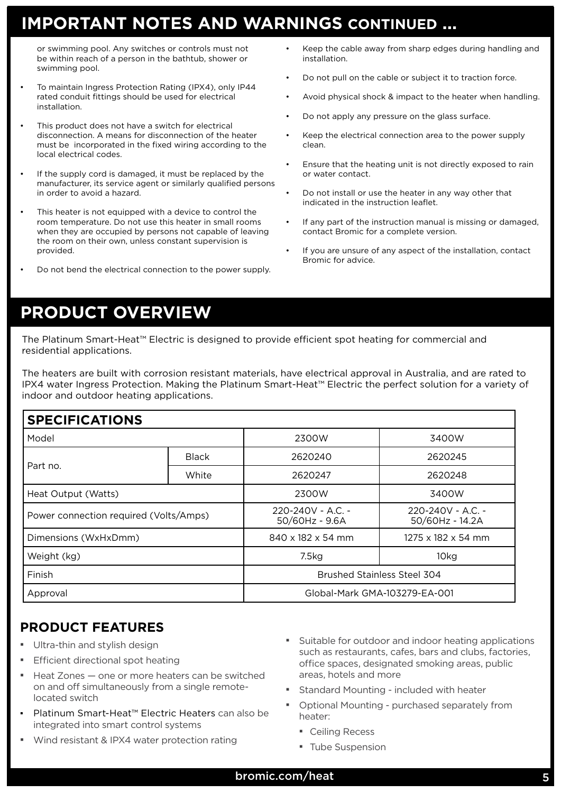## **IMPORTANT NOTES AND WARNINGS CONTINUED ...**

or swimming pool. Any switches or controls must not be within reach of a person in the bathtub, shower or swimming pool.

- To maintain Ingress Protection Rating (IPX4), only IP44 rated conduit fittings should be used for electrical installation.
- This product does not have a switch for electrical disconnection. A means for disconnection of the heater must be incorporated in the fixed wiring according to the local electrical codes.
- If the supply cord is damaged, it must be replaced by the manufacturer, its service agent or similarly qualified persons in order to avoid a hazard.
- This heater is not equipped with a device to control the room temperature. Do not use this heater in small rooms when they are occupied by persons not capable of leaving the room on their own, unless constant supervision is provided.
- Do not bend the electrical connection to the power supply.
- Keep the cable away from sharp edges during handling and installation.
- Do not pull on the cable or subject it to traction force.
- Avoid physical shock & impact to the heater when handling.
- Do not apply any pressure on the glass surface.
- Keep the electrical connection area to the power supply clean.
- Ensure that the heating unit is not directly exposed to rain or water contact.
- Do not install or use the heater in any way other that indicated in the instruction leaflet.
- If any part of the instruction manual is missing or damaged, contact Bromic for a complete version.
- If you are unsure of any aspect of the installation, contact Bromic for advice.

## **PRODUCT OVERVIEW**

The Platinum Smart-Heat™ Electric is designed to provide efficient spot heating for commercial and residential applications.

The heaters are built with corrosion resistant materials, have electrical approval in Australia, and are rated to IPX4 water Ingress Protection. Making the Platinum Smart-Heat™ Electric the perfect solution for a variety of indoor and outdoor heating applications.

### **SPECIFICATIONS**

| 91 LUII IUAI IUITU                     |              |                                     |                                      |  |
|----------------------------------------|--------------|-------------------------------------|--------------------------------------|--|
| Model                                  |              | 2300W                               | 3400W                                |  |
| Part no.                               | <b>Black</b> | 2620240                             | 2620245                              |  |
|                                        | White        | 2620247                             | 2620248                              |  |
| Heat Output (Watts)                    |              | 2300W                               | 3400W                                |  |
| Power connection required (Volts/Amps) |              | 220-240V - A.C. -<br>50/60Hz - 9.6A | 220-240V - A.C. -<br>50/60Hz - 14.2A |  |
| Dimensions (WxHxDmm)                   |              | 840 x 182 x 54 mm                   | 1275 x 182 x 54 mm                   |  |
| Weight (kg)                            |              | 7.5kg                               | 10kg                                 |  |
| Finish                                 |              | <b>Brushed Stainless Steel 304</b>  |                                      |  |
| Approval                               |              | Global-Mark GMA-103279-EA-001       |                                      |  |

### **PRODUCT FEATURES**

- Ultra-thin and stylish design
- **Efficient directional spot heating**
- Heat Zones one or more heaters can be switched on and off simultaneously from a single remotelocated switch
- Platinum Smart-Heat™ Electric Heaters can also be integrated into smart control systems
- Wind resistant & IPX4 water protection rating
- Suitable for outdoor and indoor heating applications such as restaurants, cafes, bars and clubs, factories, office spaces, designated smoking areas, public areas, hotels and more
- **EXECT** Standard Mounting included with heater
- Optional Mounting purchased separately from heater:
	- Ceiling Recess
	- Tube Suspension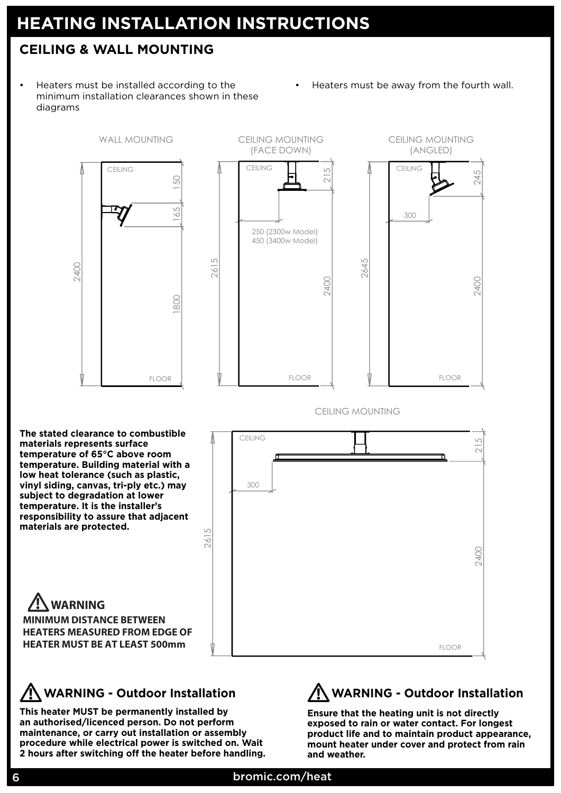# **HEATING INSTALLATION INSTRUCTIONS**

## **CEILING & WALL MOUNTING**

- Heaters must be installed according to the minimum installation clearances shown in these diagrams
- Heaters must be away from the fourth wall.



**This heater MUST be permanently installed by an authorised/licenced person. Do not perform maintenance, or carry out installation or assembly procedure while electrical power is switched on. Wait 2 hours after switching off the heater before handling.**

# **WARNING - Outdoor Installation / / WARNING - Outdoor Installation**

**Ensure that the heating unit is not directly exposed to rain or water contact. For longest product life and to maintain product appearance, mount heater under cover and protect from rain and weather.**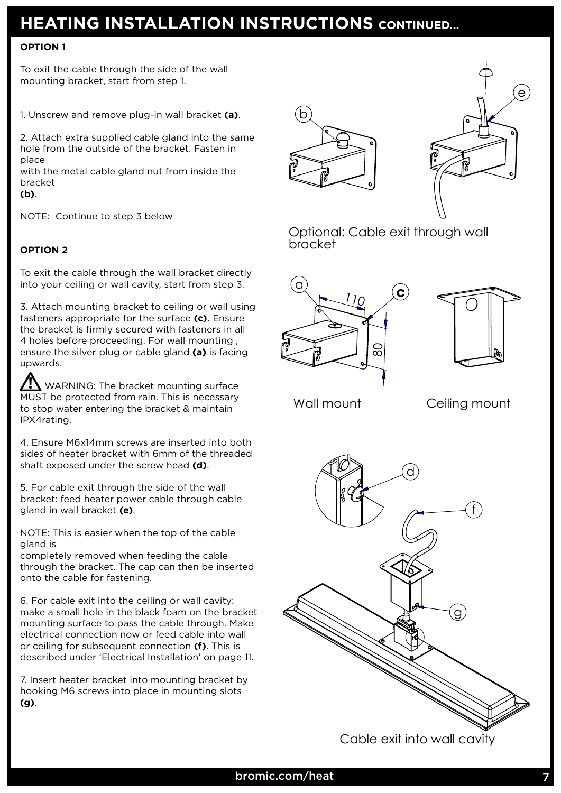### **OPTION 1**

To exit the cable through the side of the wall mounting bracket, start from step 1.

1. Unscrew and remove plug-in wall bracket **(a)**.

2. Attach extra supplied cable gland into the same hole from the outside of the bracket. Fasten in place

with the metal cable gland nut from inside the bracket

**(b)**.

NOTE: Continue to step 3 below

### **OPTION 2**

To exit the cable through the wall bracket directly into your ceiling or wall cavity, start from step 3.

3. Attach mounting bracket to ceiling or wall using fasteners appropriate for the surface **(c).** Ensure the bracket is firmly secured with fasteners in all 4 holes before proceeding. For wall mounting , ensure the silver plug or cable gland **(a)** is facing upwards.

**!** WARNING: The bracket mounting surface MUST be protected from rain. This is necessary to stop water entering the bracket & maintain IPX4rating.

4. Ensure M6x14mm screws are inserted into both sides of heater bracket with 6mm of the threaded shaft exposed under the screw head **(d)**.

5. For cable exit through the side of the wall bracket: feed heater power cable through cable gland in wall bracket **(e)**.

NOTE: This is easier when the top of the cable gland is

completely removed when feeding the cable through the bracket. The cap can then be inserted onto the cable for fastening.

6. For cable exit into the ceiling or wall cavity: make a small hole in the black foam on the bracket mounting surface to pass the cable through. Make electrical connection now or feed cable into wall or ceiling for subsequent connection **(f)**. This is described under 'Electrical Installation' on page 11.

7. Insert heater bracket into mounting bracket by hooking M6 screws into place in mounting slots **(g)**.





Optional: Cable exit through wall bracket





Wall mount Ceiling mount



Cable exit into wall cavity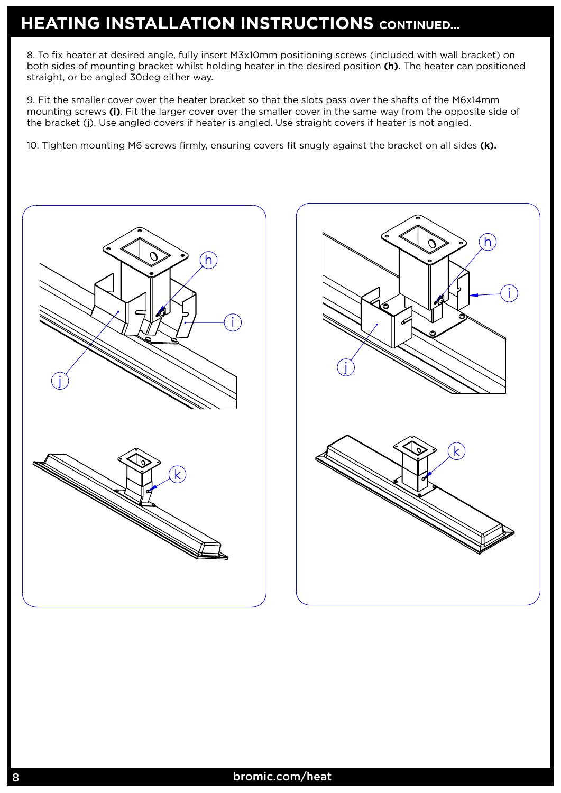### **HEATING INSTALLATION INSTRUCTIONS CONTINUED...** 9. Fit the smaller cover over the heater bracket so that the slots pass over the  $\sf EATING\; INSTALLATION\; INSTRUCTIONS\; conrinue D...$ smaller cover in the same way from the opposite side of the bracket (j).

8. To fix heater at desired angle, fully insert M3x10mm positioning screws (included with wall bracket) on 8. To fix heater at desired angle, fully insert MSXTOMM positioning screws (included with wall pracket) on<br>both sides of mounting bracket whilst holding heater in the desired position **(h).** The heater can positioned both sides of modifting bracket written in<br>straight, or be angled 30deg either way.

9. Fit the smaller cover over the heater bracket so that the slots pass over the shafts of the M6x14mm mounting screws (i). Fit the larger cover over the smaller cover in the same way from the opposite side of the bracket (j). Use angled covers if heater is angled. Use straight covers if heater is not angled.

10. Tighten mounting M6 screws firmly, ensuring covers fit snugly against the bracket on all sides **(k).**



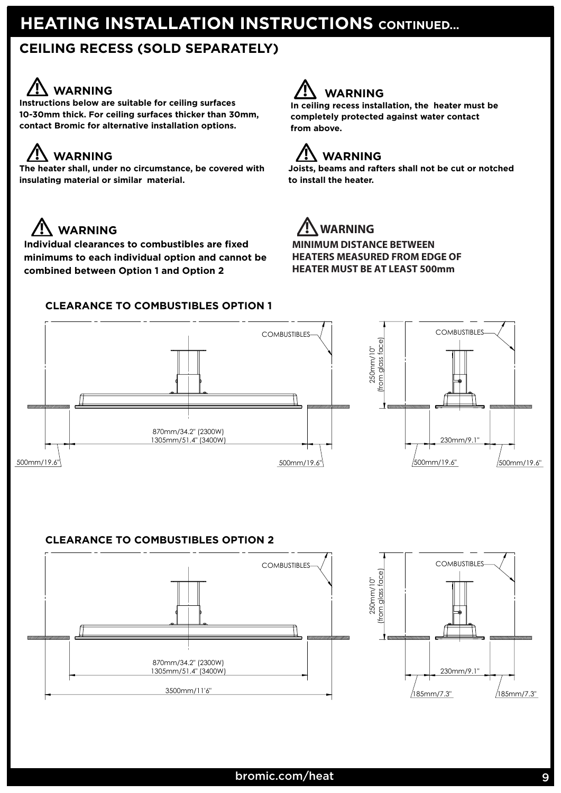## **CEILING RECESS (SOLD SEPARATELY)**

# **WARNING**

**Instructions below are suitable for ceiling surfaces 10-30mm thick. For ceiling surfaces thicker than 30mm, contact Bromic for alternative installation options.**

# **! WARNING**

**The heater shall, under no circumstance, be covered with insulating material or similar material.**

# **! WARNING**

**Individual clearances to combustibles are fixed minimums to each individual option and cannot be combined between Option 1 and Option 2**



**In ceiling recess installation, the heater must be completely protected against water contact from above.**

# **! WARNING**

**Joists, beams and rafters shall not be cut or notched to install the heater.**

# **! WARNING**

**MINIMUM DISTANCE BETWEEN HEATERS MEASURED FROM EDGE OF HEATER MUST BE AT LEAST 500mm**

### **CLEARANCE TO COMBUSTIBLES OPTION 1**



### **CLEARANCE TO COMBUSTIBLES OPTION 2**



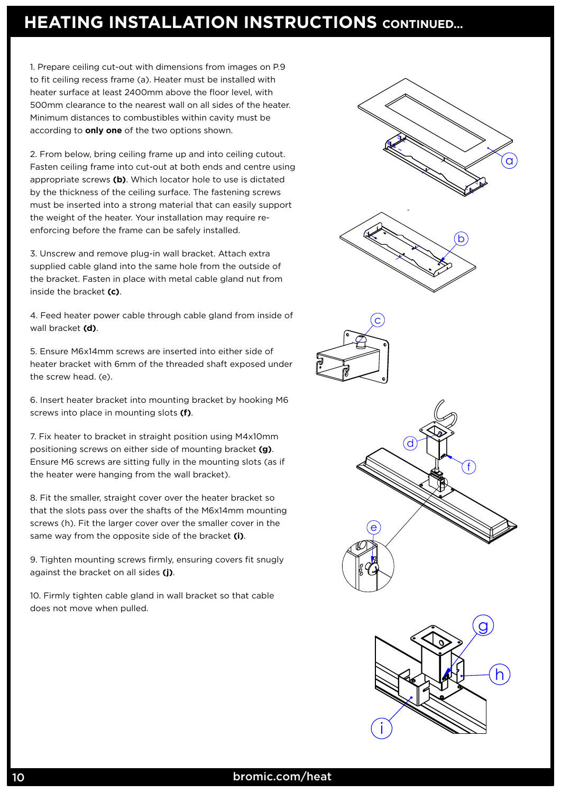1. Prepare ceiling cut-out with dimensions from images on P.9 to fit ceiling recess frame (a). Heater must be installed with heater surface at least 2400mm above the floor level, with 500mm clearance to the nearest wall on all sides of the heater. Minimum distances to combustibles within cavity must be according to **only one** of the two options shown.

2. From below, bring ceiling frame up and into ceiling cutout. Fasten ceiling frame into cut-out at both ends and centre using appropriate screws **(b)**. Which locator hole to use is dictated by the thickness of the ceiling surface. The fastening screws must be inserted into a strong material that can easily support the weight of the heater. Your installation may require reenforcing before the frame can be safely installed.

3. Unscrew and remove plug-in wall bracket. Attach extra supplied cable gland into the same hole from the outside of the bracket. Fasten in place with metal cable gland nut from inside the bracket **(c)**.

4. Feed heater power cable through cable gland from inside of wall bracket **(d)**.

5. Ensure M6x14mm screws are inserted into either side of heater bracket with 6mm of the threaded shaft exposed under the screw head. (e).

6. Insert heater bracket into mounting bracket by hooking M6 screws into place in mounting slots **(f)**.

7. Fix heater to bracket in straight position using M4x10mm positioning screws on either side of mounting bracket **(g)**. Ensure M6 screws are sitting fully in the mounting slots (as if the heater were hanging from the wall bracket).

8. Fit the smaller, straight cover over the heater bracket so that the slots pass over the shafts of the M6x14mm mounting screws (h). Fit the larger cover over the smaller cover in the same way from the opposite side of the bracket **(i)**.

9. Tighten mounting screws firmly, ensuring covers fit snugly against the bracket on all sides **(j)**.

10. Firmly tighten cable gland in wall bracket so that cable does not move when pulled.

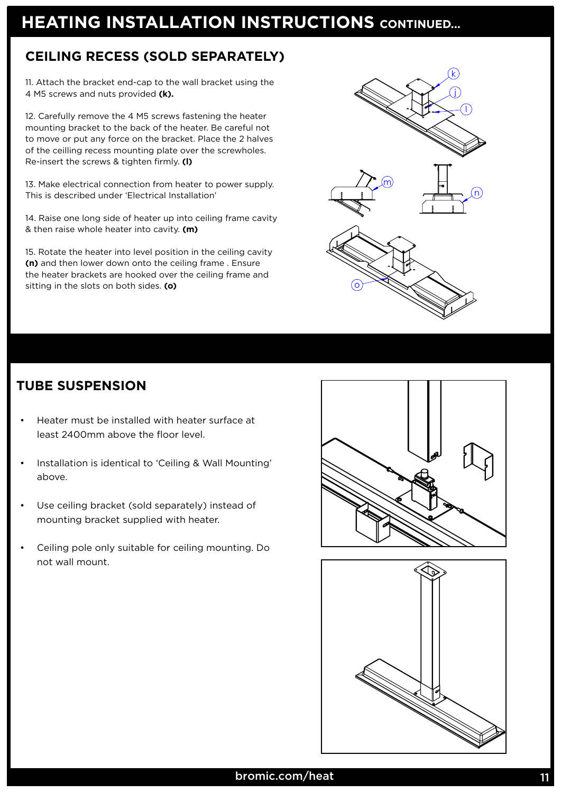## **CEILING RECESS (SOLD SEPARATELY)**

11. Attach the bracket end-cap to the wall bracket using the 4 M5 screws and nuts provided **(k).**

12. Carefully remove the 4 M5 screws fastening the heater mounting bracket to the back of the heater. Be careful not to move or put any force on the bracket. Place the 2 halves of the ceilling recess mounting plate over the screwholes. Re-insert the screws & tighten firmly. **(l)** 

13. Make electrical connection from heater to power supply. This is described under 'Electrical Installation'

14. Raise one long side of heater up into ceiling frame cavity & then raise whole heater into cavity. **(m)**

15. Rotate the heater into level position in the ceiling cavity **(n)** and then lower down onto the ceiling frame . Ensure the heater brackets are hooked over the ceiling frame and sitting in the slots on both sides. **(o)**



## **TUBE SUSPENSION**

- Heater must be installed with heater surface at least 2400mm above the floor level.
- Installation is identical to 'Ceiling & Wall Mounting' above.
- Use ceiling bracket (sold separately) instead of mounting bracket supplied with heater.
- Ceiling pole only suitable for ceiling mounting. Do not wall mount.